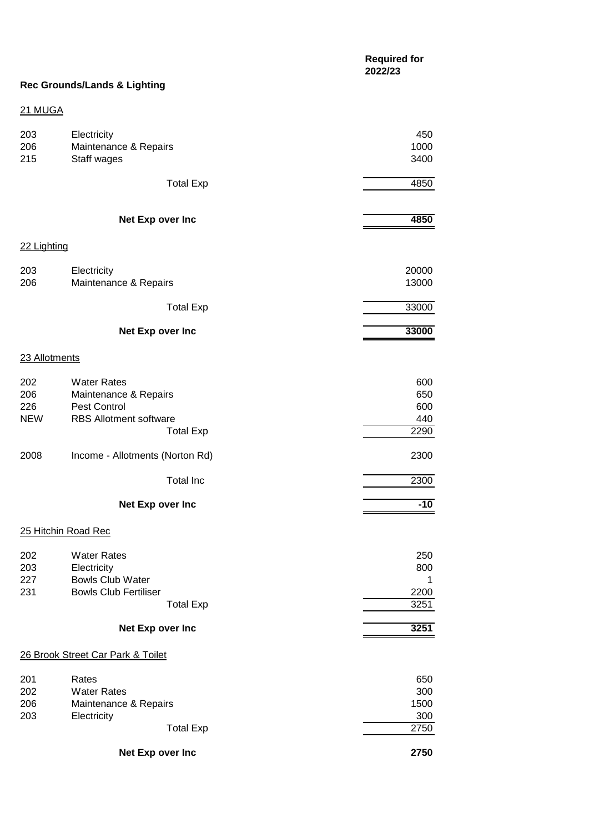# **Rec Grounds/Lands & Lighting**

## 21 MUGA

| 203<br>206<br>215               | Electricity<br>Maintenance & Repairs<br>Staff wages                                                              | 450<br>1000<br>3400               |
|---------------------------------|------------------------------------------------------------------------------------------------------------------|-----------------------------------|
|                                 | <b>Total Exp</b>                                                                                                 | 4850                              |
|                                 | Net Exp over Inc                                                                                                 | 4850                              |
| 22 Lighting                     |                                                                                                                  |                                   |
| 203<br>206                      | Electricity<br>Maintenance & Repairs                                                                             | 20000<br>13000                    |
|                                 | <b>Total Exp</b>                                                                                                 | 33000                             |
|                                 | Net Exp over Inc                                                                                                 | 33000                             |
| 23 Allotments                   |                                                                                                                  |                                   |
| 202<br>206<br>226<br><b>NEW</b> | <b>Water Rates</b><br>Maintenance & Repairs<br>Pest Control<br><b>RBS Allotment software</b><br><b>Total Exp</b> | 600<br>650<br>600<br>440<br>2290  |
| 2008                            | Income - Allotments (Norton Rd)                                                                                  | 2300                              |
|                                 | <b>Total Inc</b>                                                                                                 | 2300                              |
|                                 | Net Exp over Inc                                                                                                 | $-10$                             |
|                                 | 25 Hitchin Road Rec                                                                                              |                                   |
| 202<br>203<br>227<br>231        | <b>Water Rates</b><br>Electricity<br><b>Bowls Club Water</b><br><b>Bowls Club Fertiliser</b><br><b>Total Exp</b> | 250<br>800<br>1<br>2200<br>3251   |
|                                 | Net Exp over Inc                                                                                                 | 3251                              |
|                                 | 26 Brook Street Car Park & Toilet                                                                                |                                   |
| 201<br>202<br>206<br>203        | Rates<br><b>Water Rates</b><br>Maintenance & Repairs<br>Electricity<br><b>Total Exp</b>                          | 650<br>300<br>1500<br>300<br>2750 |
|                                 | Net Exp over Inc                                                                                                 | 2750                              |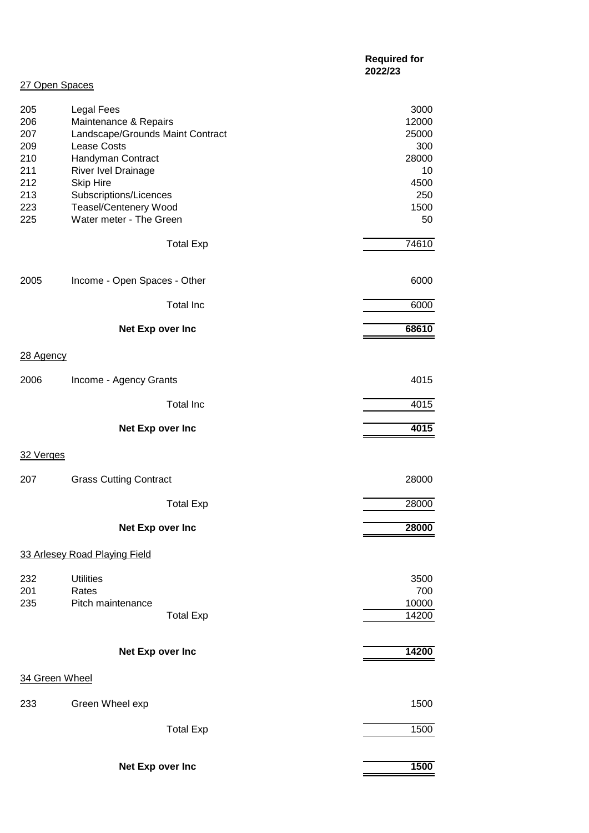|                          |                                                                                                | <b>Required for</b><br>2022/23 |
|--------------------------|------------------------------------------------------------------------------------------------|--------------------------------|
| 27 Open Spaces           |                                                                                                |                                |
| 205<br>206<br>207        | <b>Legal Fees</b><br>Maintenance & Repairs<br>Landscape/Grounds Maint Contract                 | 3000<br>12000<br>25000         |
| 209<br>210<br>211        | <b>Lease Costs</b><br>Handyman Contract<br>River Ivel Drainage                                 | 300<br>28000<br>10             |
| 212<br>213<br>223<br>225 | <b>Skip Hire</b><br>Subscriptions/Licences<br>Teasel/Centenery Wood<br>Water meter - The Green | 4500<br>250<br>1500<br>50      |
|                          | <b>Total Exp</b>                                                                               | 74610                          |
| 2005                     | Income - Open Spaces - Other                                                                   | 6000                           |
|                          | <b>Total Inc</b>                                                                               | 6000                           |
|                          | Net Exp over Inc                                                                               | 68610                          |
| 28 Agency                |                                                                                                |                                |
| 2006                     | Income - Agency Grants                                                                         | 4015                           |
|                          | <b>Total Inc</b>                                                                               | 4015                           |
|                          | Net Exp over Inc                                                                               | 4015                           |
| 32 Verges                |                                                                                                |                                |
| 207                      | <b>Grass Cutting Contract</b>                                                                  | 28000                          |
|                          | <b>Total Exp</b>                                                                               | 28000                          |
|                          | Net Exp over Inc                                                                               | 28000                          |
|                          | 33 Arlesey Road Playing Field                                                                  |                                |
| 232<br>201               | <b>Utilities</b><br>Rates                                                                      | 3500<br>700                    |
| 235                      | Pitch maintenance<br><b>Total Exp</b>                                                          | 10000<br>14200                 |
|                          | Net Exp over Inc                                                                               | 14200                          |
| 34 Green Wheel           |                                                                                                |                                |
| 233                      | Green Wheel exp                                                                                | 1500                           |
|                          | <b>Total Exp</b>                                                                               | 1500                           |
|                          | Net Exp over Inc                                                                               | 1500                           |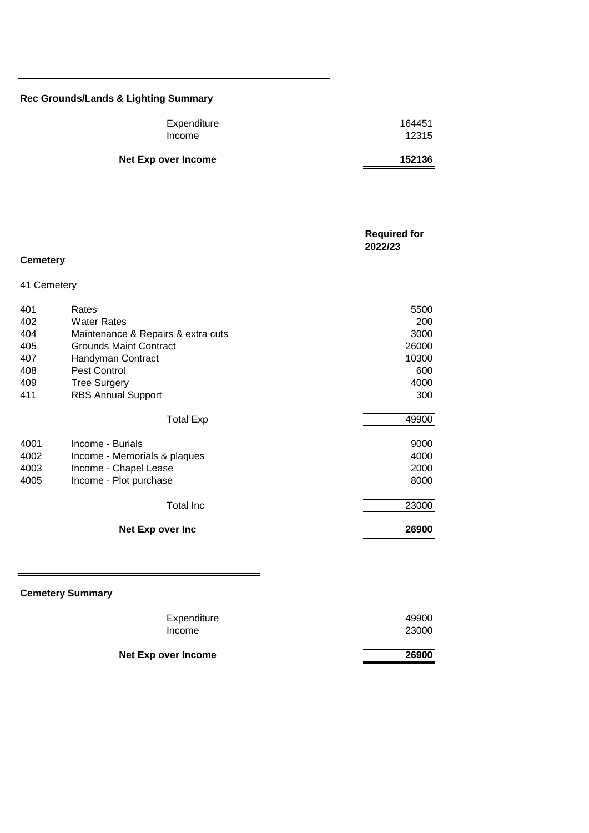## **Rec Grounds/Lands & Lighting Summary**

| Expenditure         | 164451 |
|---------------------|--------|
| Income              | 12315  |
|                     |        |
| Net Exp over Income | 152136 |

|                 |                                    | <b>Required for</b><br>2022/23 |
|-----------------|------------------------------------|--------------------------------|
| <b>Cemetery</b> |                                    |                                |
| 41 Cemetery     |                                    |                                |
| 401             | Rates                              | 5500                           |
| 402             | <b>Water Rates</b>                 | 200                            |
| 404             | Maintenance & Repairs & extra cuts | 3000                           |
| 405             | <b>Grounds Maint Contract</b>      | 26000                          |
| 407             | Handyman Contract                  | 10300                          |
| 408             | Pest Control                       | 600                            |
| 409             | <b>Tree Surgery</b>                | 4000                           |
| 411             | <b>RBS Annual Support</b>          | 300                            |
|                 | <b>Total Exp</b>                   | 49900                          |
| 4001            | Income - Burials                   | 9000                           |
| 4002            | Income - Memorials & plaques       | 4000                           |
| 4003            | Income - Chapel Lease              | 2000                           |
| 4005            | Income - Plot purchase             | 8000                           |
|                 | <b>Total Inc</b>                   | 23000                          |
|                 | Net Exp over Inc                   | 26900                          |
|                 |                                    |                                |

# **Cemetery Summary**

| <b>Net Exp over Income</b> | 26900 |
|----------------------------|-------|
| Income                     | 23000 |
| Expenditure                | 49900 |
|                            |       |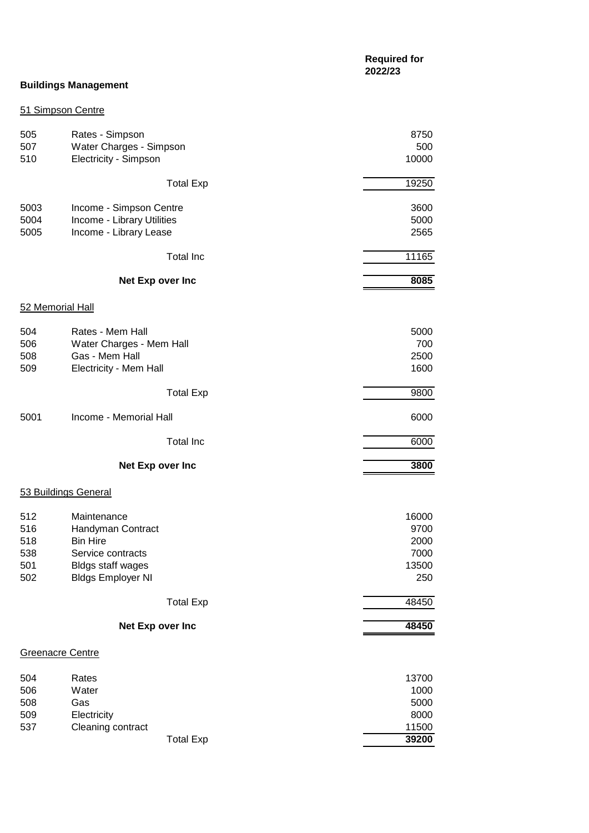|            |                                                      | <b>Required for</b><br>2022/23 |
|------------|------------------------------------------------------|--------------------------------|
|            | <b>Buildings Management</b>                          |                                |
|            | 51 Simpson Centre                                    |                                |
| 505        | Rates - Simpson                                      | 8750                           |
| 507        | Water Charges - Simpson                              | 500                            |
| 510        | Electricity - Simpson                                | 10000                          |
|            | <b>Total Exp</b>                                     | 19250                          |
| 5003       | Income - Simpson Centre                              | 3600                           |
| 5004       | Income - Library Utilities                           | 5000                           |
| 5005       | Income - Library Lease                               | 2565                           |
|            | <b>Total Inc</b>                                     | 11165                          |
|            | Net Exp over Inc                                     | 8085                           |
|            | 52 Memorial Hall                                     |                                |
| 504        | Rates - Mem Hall                                     | 5000                           |
| 506        | Water Charges - Mem Hall                             | 700                            |
| 508        | Gas - Mem Hall                                       | 2500                           |
| 509        | Electricity - Mem Hall                               | 1600                           |
|            | <b>Total Exp</b>                                     | 9800                           |
| 5001       | Income - Memorial Hall                               | 6000                           |
|            | <b>Total Inc</b>                                     | 6000                           |
|            | Net Exp over Inc                                     | 3800                           |
|            | 53 Buildings General                                 |                                |
|            |                                                      |                                |
| 512        | Maintenance                                          | 16000                          |
| 516        | Handyman Contract                                    | 9700                           |
| 518        | <b>Bin Hire</b>                                      | 2000                           |
| 538        | Service contracts                                    | 7000                           |
| 501<br>502 | <b>Bldgs staff wages</b><br><b>Bldgs Employer NI</b> | 13500<br>250                   |
|            | <b>Total Exp</b>                                     | 48450                          |
|            |                                                      |                                |
|            | Net Exp over Inc                                     | 48450                          |
|            | Greenacre Centre                                     |                                |
| 504        | Rates                                                | 13700                          |
| 506        | Water                                                | 1000                           |

|     |                   | <b>Total Exp</b> | 39200  |
|-----|-------------------|------------------|--------|
| 537 | Cleaning contract |                  | 11500  |
| 509 | Electricity       |                  | 8000   |
| 508 | Gas               |                  | 5000   |
| 506 | Water             |                  | 1000   |
| ◡◡┭ | naluo             |                  | טט וטו |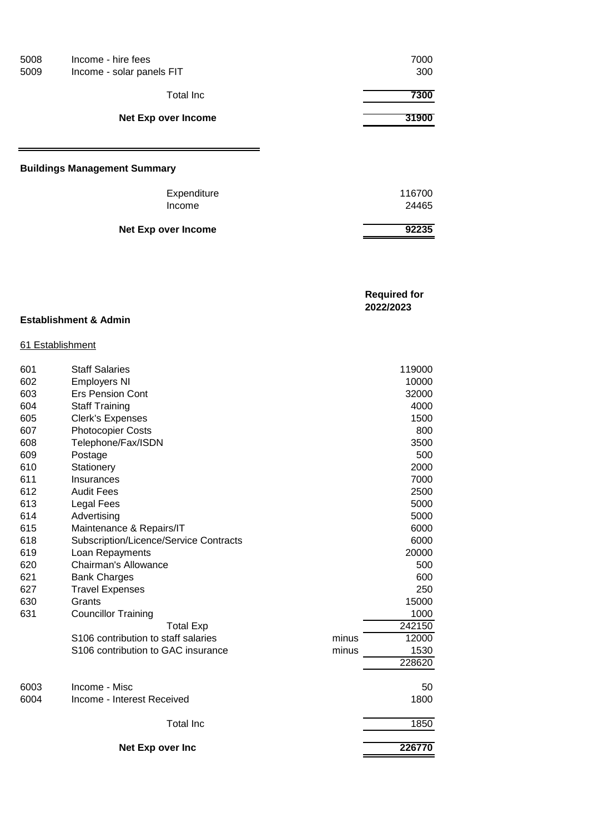| 5008<br>5009 | Income - hire fees<br>Income - solar panels FIT | 7000<br>300 |
|--------------|-------------------------------------------------|-------------|
|              | <b>Total Inc</b>                                | 7300        |
|              | <b>Net Exp over Income</b>                      | 31900       |
|              |                                                 |             |
|              | <b>Buildings Management Summary</b>             |             |
|              | Expenditure                                     | 116700      |
|              | Income                                          | 24465       |
|              |                                                 |             |

| <b>Required for</b> |
|---------------------|
| 2022/2023           |
|                     |

#### **Establishment & Admin**

#### 61 Establishment

| 601  | <b>Staff Salaries</b>                  |       | 119000 |
|------|----------------------------------------|-------|--------|
| 602  | <b>Employers NI</b>                    |       | 10000  |
| 603  | <b>Ers Pension Cont</b>                |       | 32000  |
| 604  | <b>Staff Training</b>                  |       | 4000   |
| 605  | <b>Clerk's Expenses</b>                |       | 1500   |
| 607  | <b>Photocopier Costs</b>               |       | 800    |
| 608  | Telephone/Fax/ISDN                     |       | 3500   |
| 609  | Postage                                |       | 500    |
| 610  | Stationery                             |       | 2000   |
| 611  | Insurances                             |       | 7000   |
| 612  | <b>Audit Fees</b>                      |       | 2500   |
| 613  | <b>Legal Fees</b>                      |       | 5000   |
| 614  | Advertising                            |       | 5000   |
| 615  | Maintenance & Repairs/IT               |       | 6000   |
| 618  | Subscription/Licence/Service Contracts |       | 6000   |
| 619  | Loan Repayments                        |       | 20000  |
| 620  | Chairman's Allowance                   |       | 500    |
| 621  | <b>Bank Charges</b>                    |       | 600    |
| 627  | <b>Travel Expenses</b>                 |       | 250    |
| 630  | Grants                                 |       | 15000  |
| 631  | <b>Councillor Training</b>             |       | 1000   |
|      | <b>Total Exp</b>                       |       | 242150 |
|      | S106 contribution to staff salaries    | minus | 12000  |
|      | S106 contribution to GAC insurance     | minus | 1530   |
|      |                                        |       | 228620 |
|      |                                        |       |        |
| 6003 | Income - Misc                          |       | 50     |
| 6004 | Income - Interest Received             |       | 1800   |
|      | <b>Total Inc</b>                       |       | 1850   |
|      | Net Exp over Inc                       |       | 226770 |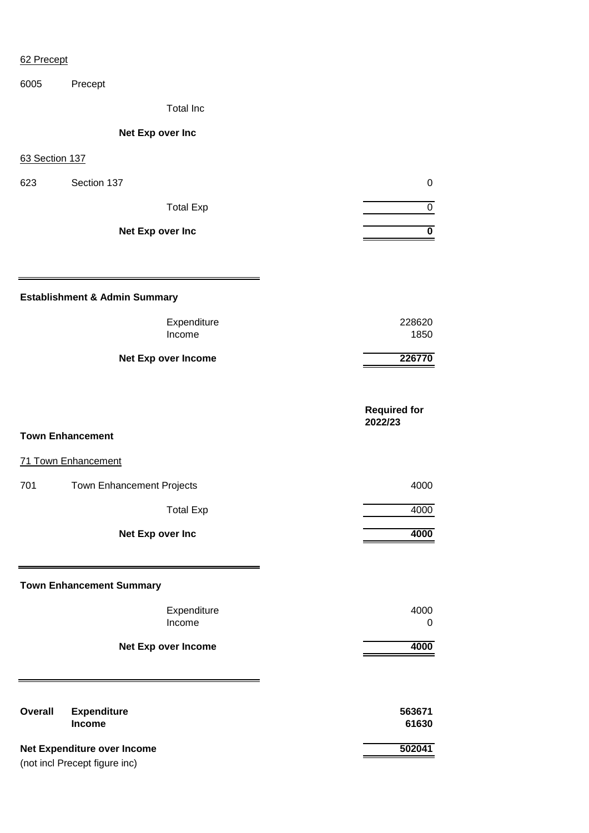#### 62 Precept

6005 Precept

Total Inc

### **Net Exp over Inc**

63 Section 137

| 623 | Section 137      |  |
|-----|------------------|--|
|     | <b>Total Exp</b> |  |
|     | Net Exp over Inc |  |

**Establishment & Admin Summary**

| 228620 |
|--------|
| 1850   |
|        |

**Net Exp over Income 226770**

**Required for 2022/23**

#### **Town Enhancement**

71 Town Enhancement

#### 701 Town Enhancement Projects **1000** Town 81, 1000

Total Exp 4000

**Net Exp over Inc 4000** 

#### **Town Enhancement Summary**

Expenditure 4000 Income 0

**Net Exp over Income 4000** 

| Overall                     | <b>Expenditure</b>            | 563671 |
|-----------------------------|-------------------------------|--------|
|                             | <b>Income</b>                 | 61630  |
| Net Expenditure over Income |                               | 502041 |
|                             | (not incl Precept figure inc) |        |